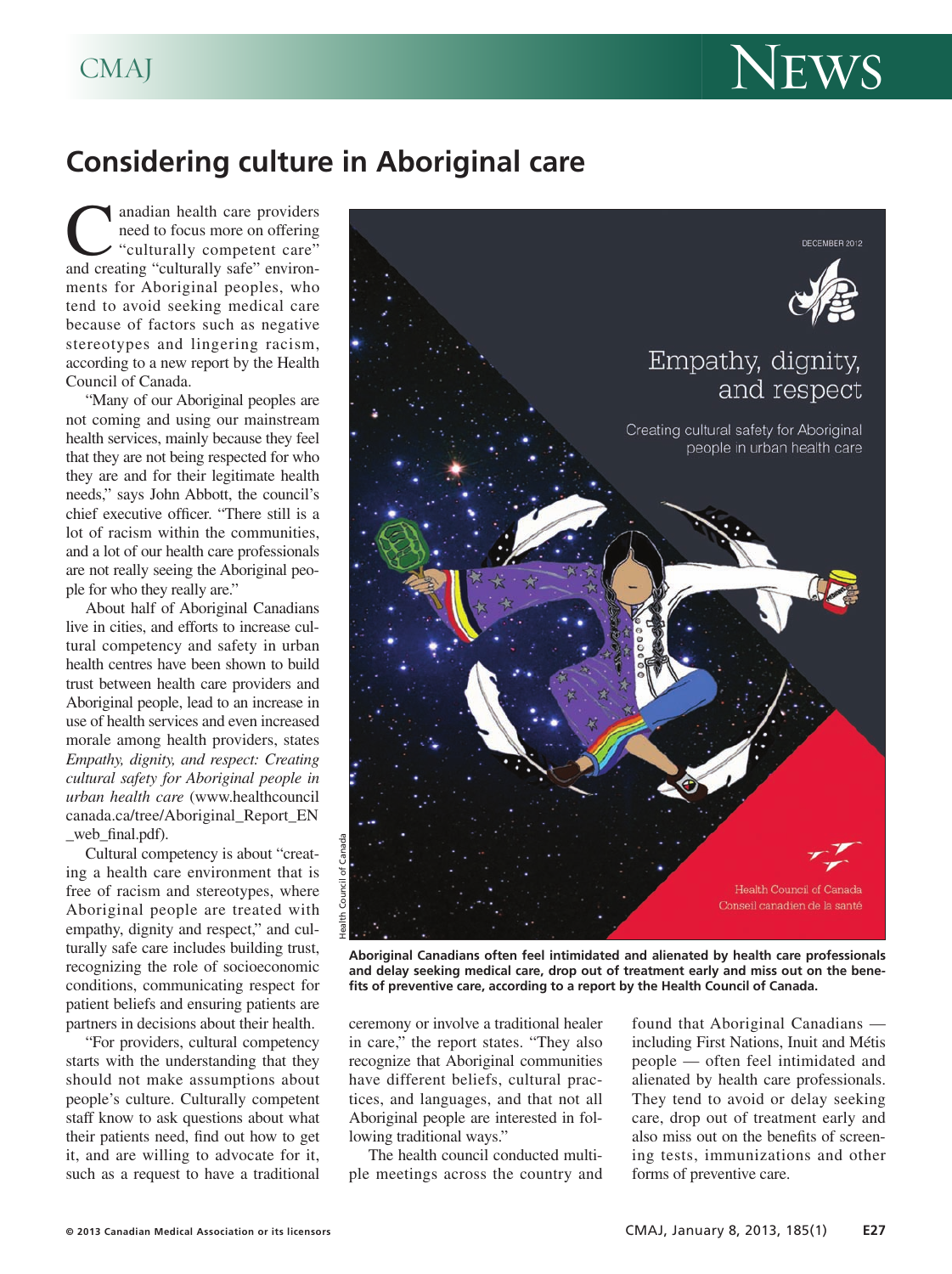

## **Considering culture in Aboriginal care**

anadian health care providers need to focus more on offering "culturally competent care" and creating "culturally safe" environments for Aboriginal peoples, who tend to avoid seeking medical care because of factors such as negative stereotypes and lingering racism, according to a new report by the Health Council of Canada.

"Many of our Aboriginal peoples are not coming and using our mainstream health services, mainly because they feel that they are not being respected for who they are and for their legitimate health needs," says John Abbott, the council's chief executive officer. "There still is a lot of racism within the communities, and a lot of our health care professionals are not really seeing the Aboriginal people for who they really are."

About half of Aboriginal Canadians live in cities, and efforts to increase cultural competency and safety in urban health centres have been shown to build trust between health care providers and Aboriginal people, lead to an increase in use of health services and even increased morale among health providers, states *Empathy, dignity, and respect: Creating cultural safety for Aboriginal people in urban health care* (www.healthcouncil canada.ca/tree/Aboriginal\_Report\_EN web final.pdf).

Cultural competency is about "creating a health care environment that is free of racism and stereotypes, where Aboriginal people are treated with empathy, dignity and respect," and culturally safe care includes building trust, recognizing the role of socioeconomic conditions, communicating respect for patient beliefs and ensuring patients are partners in decisions about their health.

"For providers, cultural competency starts with the understanding that they should not make assumptions about people's culture. Culturally competent staff know to ask questions about what their patients need, find out how to get it, and are willing to advocate for it, such as a request to have a traditional



**Aboriginal Canadians often feel intimidated and alienated by health care professionals and delay seeking medical care, drop out of treatment early and miss out on the benefits of preventive care, according to a report by the Health Council of Canada.**

ceremony or involve a traditional healer in care," the report states. "They also recognize that Aboriginal communities have different beliefs, cultural practices, and languages, and that not all Aboriginal people are interested in following traditional ways."

The health council conducted multiple meetings across the country and found that Aboriginal Canadians including First Nations, Inuit and Métis people — often feel intimidated and alienated by health care professionals. They tend to avoid or delay seeking care, drop out of treatment early and also miss out on the benefits of screening tests, immunizations and other forms of preventive care.